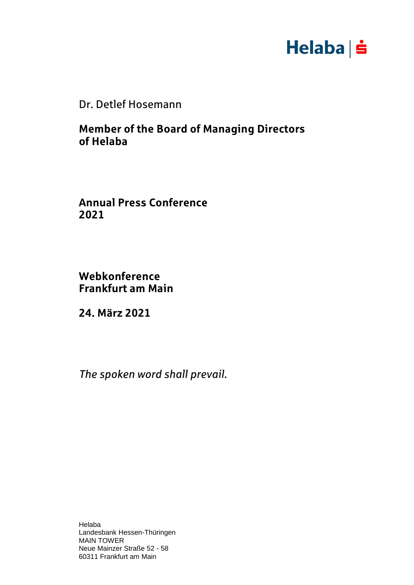

Dr. Detlef Hosemann

**Member of the Board of Managing Directors of Helaba**

**Annual Press Conference 2021**

**Webkonference Frankfurt am Main**

**24. März 2021**

*The spoken word shall prevail.*

Helaba Landesbank Hessen-Thüringen MAIN TOWER Neue Mainzer Straße 52 - 58 60311 Frankfurt am Main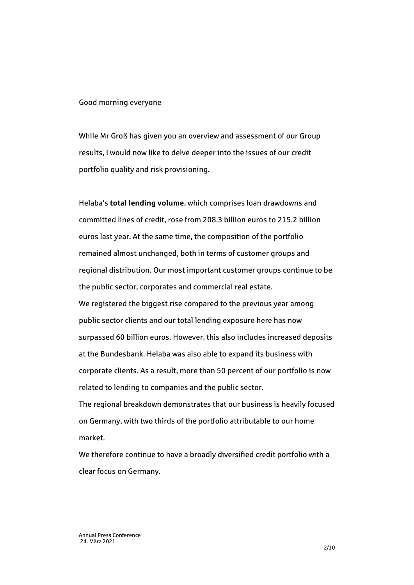## Good morning everyone

While Mr Groß has given you an overview and assessment of our Group results, I would now like to delve deeper into the issues of our credit portfolio quality and risk provisioning.

Helaba's **total lending volume**, which comprises loan drawdowns and committed lines of credit, rose from 208.3 billion euros to 215.2 billion euros last year. At the same time, the composition of the portfolio remained almost unchanged, both in terms of customer groups and regional distribution. Our most important customer groups continue to be the public sector, corporates and commercial real estate. We registered the biggest rise compared to the previous year among public sector clients and our total lending exposure here has now surpassed 60 billion euros. However, this also includes increased deposits at the Bundesbank. Helaba was also able to expand its business with corporate clients. As a result, more than 50 percent of our portfolio is now related to lending to companies and the public sector.

The regional breakdown demonstrates that our business is heavily focused on Germany, with two thirds of the portfolio attributable to our home market.

We therefore continue to have a broadly diversified credit portfolio with a clear focus on Germany.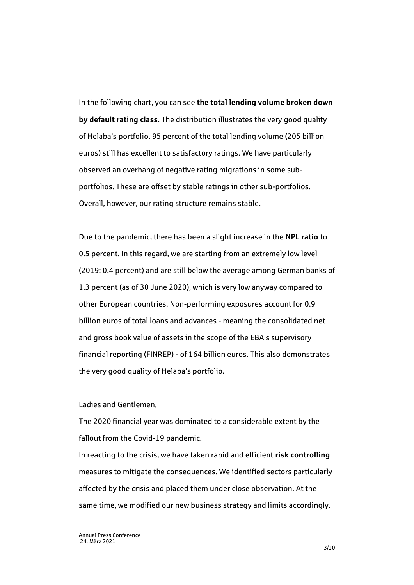In the following chart, you can see **the total lending volume broken down by default rating class**. The distribution illustrates the very good quality of Helaba's portfolio. 95 percent of the total lending volume (205 billion euros) still has excellent to satisfactory ratings. We have particularly observed an overhang of negative rating migrations in some subportfolios. These are offset by stable ratings in other sub-portfolios. Overall, however, our rating structure remains stable.

Due to the pandemic, there has been a slight increase in the **NPL ratio** to 0.5 percent. In this regard, we are starting from an extremely low level (2019: 0.4 percent) and are still below the average among German banks of 1.3 percent (as of 30 June 2020), which is very low anyway compared to other European countries. Non-performing exposures account for 0.9 billion euros of total loans and advances - meaning the consolidated net and gross book value of assets in the scope of the EBA's supervisory financial reporting (FINREP) - of 164 billion euros. This also demonstrates the very good quality of Helaba's portfolio.

## Ladies and Gentlemen,

The 2020 financial year was dominated to a considerable extent by the fallout from the Covid-19 pandemic.

In reacting to the crisis, we have taken rapid and efficient **risk controlling**  measures to mitigate the consequences. We identified sectors particularly affected by the crisis and placed them under close observation. At the same time, we modified our new business strategy and limits accordingly.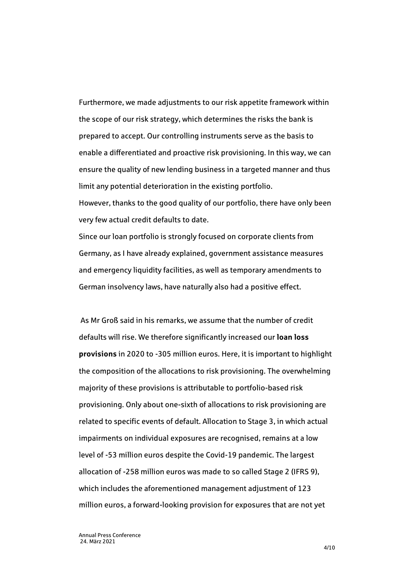Furthermore, we made adjustments to our risk appetite framework within the scope of our risk strategy, which determines the risks the bank is prepared to accept. Our controlling instruments serve as the basis to enable a differentiated and proactive risk provisioning. In this way, we can ensure the quality of new lending business in a targeted manner and thus limit any potential deterioration in the existing portfolio. However, thanks to the good quality of our portfolio, there have only been

very few actual credit defaults to date.

Since our loan portfolio is strongly focused on corporate clients from Germany, as I have already explained, government assistance measures and emergency liquidity facilities, as well as temporary amendments to German insolvency laws, have naturally also had a positive effect.

As Mr Groß said in his remarks, we assume that the number of credit defaults will rise. We therefore significantly increased our **loan loss provisions** in 2020 to -305 million euros. Here, it is important to highlight the composition of the allocations to risk provisioning. The overwhelming majority of these provisions is attributable to portfolio-based risk provisioning. Only about one-sixth of allocations to risk provisioning are related to specific events of default. Allocation to Stage 3, in which actual impairments on individual exposures are recognised, remains at a low level of -53 million euros despite the Covid-19 pandemic. The largest allocation of -258 million euros was made to so called Stage 2 (IFRS 9), which includes the aforementioned management adjustment of 123 million euros, a forward-looking provision for exposures that are not yet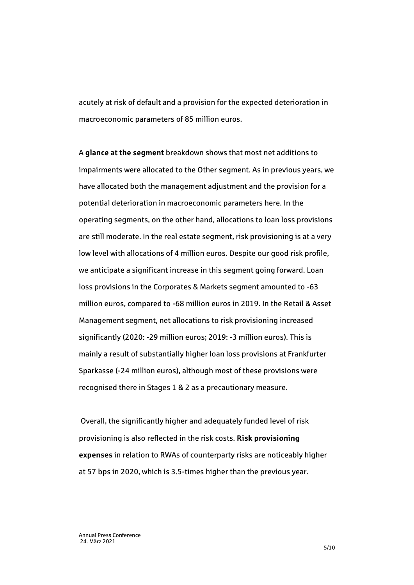acutely at risk of default and a provision for the expected deterioration in macroeconomic parameters of 85 million euros.

A **glance at the segment** breakdown shows that most net additions to impairments were allocated to the Other segment. As in previous years, we have allocated both the management adjustment and the provision for a potential deterioration in macroeconomic parameters here. In the operating segments, on the other hand, allocations to loan loss provisions are still moderate. In the real estate segment, risk provisioning is at a very low level with allocations of 4 million euros. Despite our good risk profile, we anticipate a significant increase in this segment going forward. Loan loss provisions in the Corporates & Markets segment amounted to -63 million euros, compared to -68 million euros in 2019. In the Retail & Asset Management segment, net allocations to risk provisioning increased significantly (2020: -29 million euros; 2019: -3 million euros). This is mainly a result of substantially higher loan loss provisions at Frankfurter Sparkasse (-24 million euros), although most of these provisions were recognised there in Stages 1 & 2 as a precautionary measure.

Overall, the significantly higher and adequately funded level of risk provisioning is also reflected in the risk costs. **Risk provisioning expenses** in relation to RWAs of counterparty risks are noticeably higher at 57 bps in 2020, which is 3.5-times higher than the previous year.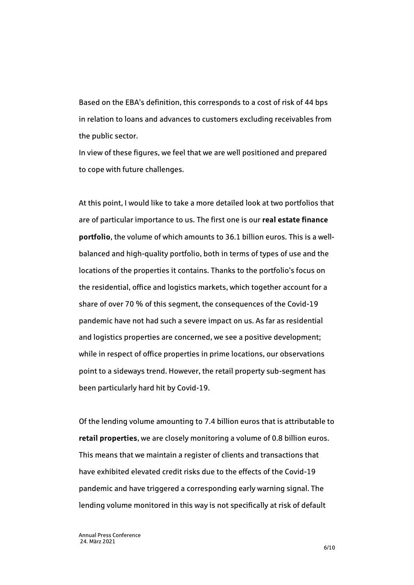Based on the EBA's definition, this corresponds to a cost of risk of 44 bps in relation to loans and advances to customers excluding receivables from the public sector.

In view of these figures, we feel that we are well positioned and prepared to cope with future challenges.

At this point, I would like to take a more detailed look at two portfolios that are of particular importance to us. The first one is our **real estate finance portfolio**, the volume of which amounts to 36.1 billion euros. This is a wellbalanced and high-quality portfolio, both in terms of types of use and the locations of the properties it contains. Thanks to the portfolio's focus on the residential, office and logistics markets, which together account for a share of over 70 % of this segment, the consequences of the Covid-19 pandemic have not had such a severe impact on us. As far as residential and logistics properties are concerned, we see a positive development; while in respect of office properties in prime locations, our observations point to a sideways trend. However, the retail property sub-segment has been particularly hard hit by Covid-19.

Of the lending volume amounting to 7.4 billion euros that is attributable to **retail properties**, we are closely monitoring a volume of 0.8 billion euros. This means that we maintain a register of clients and transactions that have exhibited elevated credit risks due to the effects of the Covid-19 pandemic and have triggered a corresponding early warning signal. The lending volume monitored in this way is not specifically at risk of default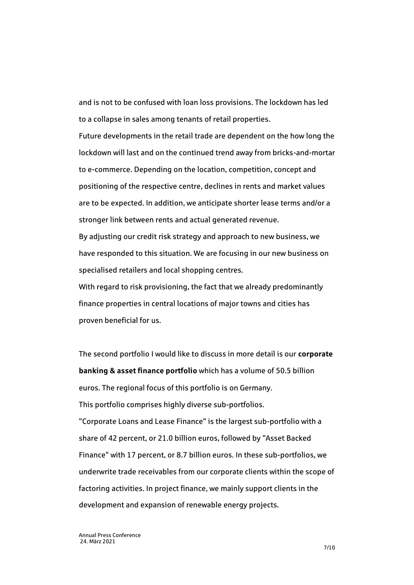and is not to be confused with loan loss provisions. The lockdown has led to a collapse in sales among tenants of retail properties.

Future developments in the retail trade are dependent on the how long the lockdown will last and on the continued trend away from bricks-and-mortar to e-commerce. Depending on the location, competition, concept and positioning of the respective centre, declines in rents and market values are to be expected. In addition, we anticipate shorter lease terms and/or a stronger link between rents and actual generated revenue.

By adjusting our credit risk strategy and approach to new business, we have responded to this situation. We are focusing in our new business on specialised retailers and local shopping centres.

With regard to risk provisioning, the fact that we already predominantly finance properties in central locations of major towns and cities has proven beneficial for us.

The second portfolio I would like to discuss in more detail is our **corporate banking & asset finance portfolio** which has a volume of 50.5 billion euros. The regional focus of this portfolio is on Germany. This portfolio comprises highly diverse sub-portfolios. "Corporate Loans and Lease Finance" is the largest sub-portfolio with a share of 42 percent, or 21.0 billion euros, followed by "Asset Backed Finance" with 17 percent, or 8.7 billion euros. In these sub-portfolios, we underwrite trade receivables from our corporate clients within the scope of factoring activities. In project finance, we mainly support clients in the development and expansion of renewable energy projects.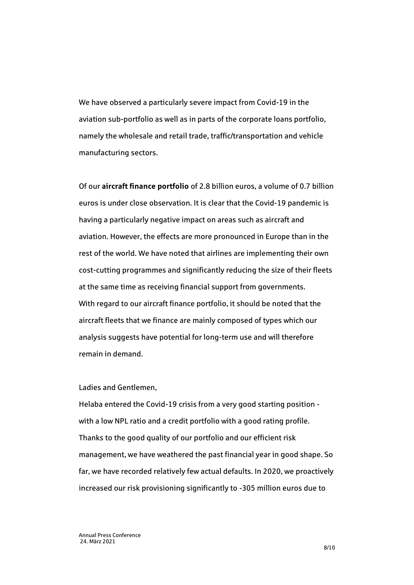We have observed a particularly severe impact from Covid-19 in the aviation sub-portfolio as well as in parts of the corporate loans portfolio, namely the wholesale and retail trade, traffic/transportation and vehicle manufacturing sectors.

Of our **aircraft finance portfolio** of 2.8 billion euros, a volume of 0.7 billion euros is under close observation. It is clear that the Covid-19 pandemic is having a particularly negative impact on areas such as aircraft and aviation. However, the effects are more pronounced in Europe than in the rest of the world. We have noted that airlines are implementing their own cost-cutting programmes and significantly reducing the size of their fleets at the same time as receiving financial support from governments. With regard to our aircraft finance portfolio, it should be noted that the aircraft fleets that we finance are mainly composed of types which our analysis suggests have potential for long-term use and will therefore remain in demand.

Ladies and Gentlemen,

Helaba entered the Covid-19 crisis from a very good starting position with a low NPL ratio and a credit portfolio with a good rating profile. Thanks to the good quality of our portfolio and our efficient risk management, we have weathered the past financial year in good shape. So far, we have recorded relatively few actual defaults. In 2020, we proactively increased our risk provisioning significantly to -305 million euros due to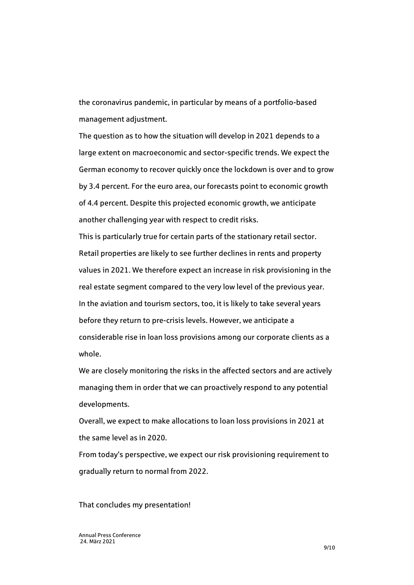the coronavirus pandemic, in particular by means of a portfolio-based management adjustment.

The question as to how the situation will develop in 2021 depends to a large extent on macroeconomic and sector-specific trends. We expect the German economy to recover quickly once the lockdown is over and to grow by 3.4 percent. For the euro area, our forecasts point to economic growth of 4.4 percent. Despite this projected economic growth, we anticipate another challenging year with respect to credit risks.

This is particularly true for certain parts of the stationary retail sector. Retail properties are likely to see further declines in rents and property values in 2021. We therefore expect an increase in risk provisioning in the real estate segment compared to the very low level of the previous year. In the aviation and tourism sectors, too, it is likely to take several years before they return to pre-crisis levels. However, we anticipate a considerable rise in loan loss provisions among our corporate clients as a whole.

We are closely monitoring the risks in the affected sectors and are actively managing them in order that we can proactively respond to any potential developments.

Overall, we expect to make allocations to loan loss provisions in 2021 at the same level as in 2020.

From today's perspective, we expect our risk provisioning requirement to gradually return to normal from 2022.

That concludes my presentation!